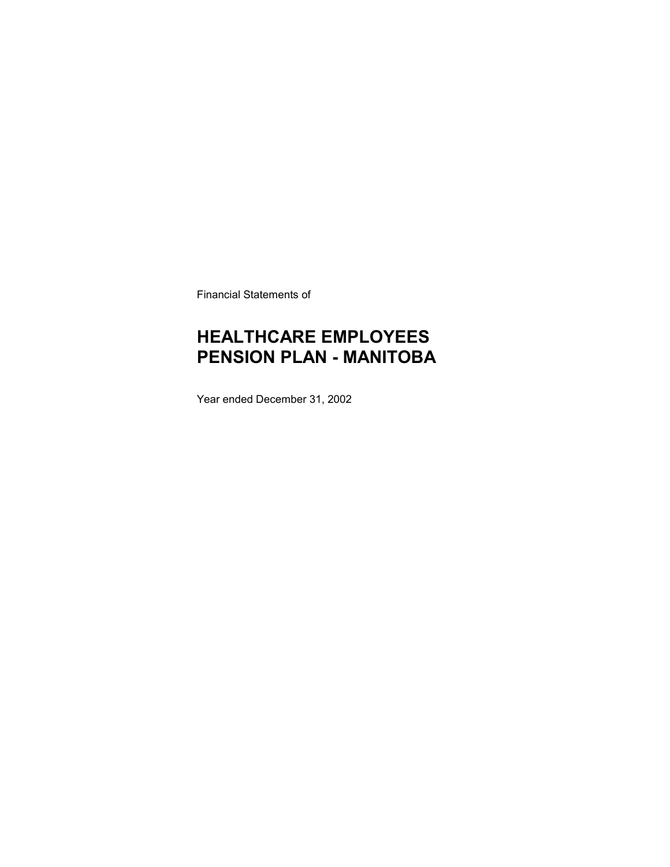Financial Statements of

# **HEALTHCARE EMPLOYEES PENSION PLAN - MANITOBA**

Year ended December 31, 2002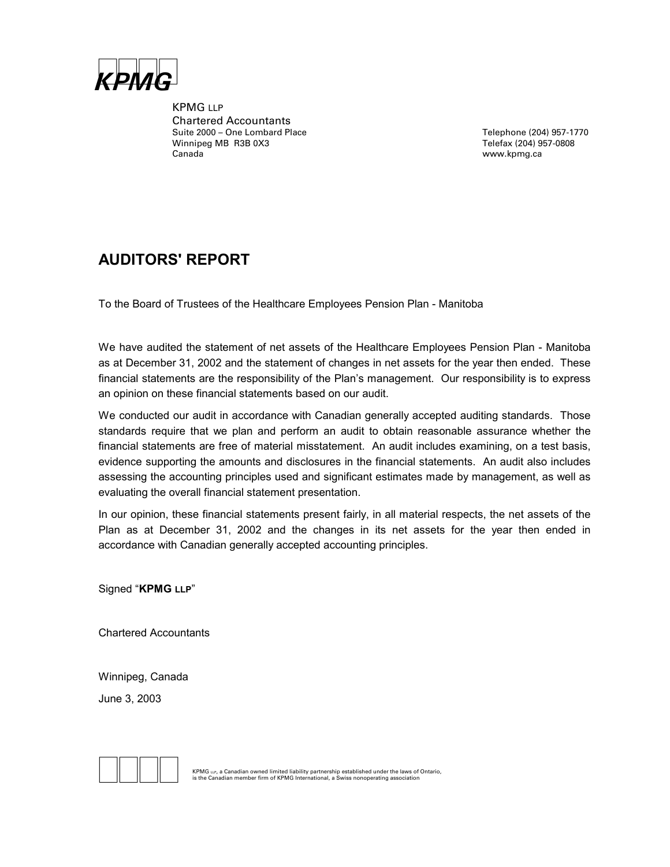

KPMG LLP Chartered Accountants Suite 2000 – One Lombard Place<br>
Winnipeg MB R3B 0X3<br>
Telefax (204) 957-0808 Winnipeg MB R3B 0X3 Canada www.kpmg.ca

### **AUDITORS' REPORT**

To the Board of Trustees of the Healthcare Employees Pension Plan - Manitoba

We have audited the statement of net assets of the Healthcare Employees Pension Plan - Manitoba as at December 31, 2002 and the statement of changes in net assets for the year then ended. These financial statements are the responsibility of the Plan's management. Our responsibility is to express an opinion on these financial statements based on our audit.

We conducted our audit in accordance with Canadian generally accepted auditing standards. Those standards require that we plan and perform an audit to obtain reasonable assurance whether the financial statements are free of material misstatement. An audit includes examining, on a test basis, evidence supporting the amounts and disclosures in the financial statements. An audit also includes assessing the accounting principles used and significant estimates made by management, as well as evaluating the overall financial statement presentation.

In our opinion, these financial statements present fairly, in all material respects, the net assets of the Plan as at December 31, 2002 and the changes in its net assets for the year then ended in accordance with Canadian generally accepted accounting principles.

Signed "**KPMG LLP**"

Chartered Accountants

Winnipeg, Canada June 3, 2003



**EXPING LLP, a Canadian owned limited liability partnership established under the laws of Ontario,**<br>is the Canadian member firm of KPMG International, a Swiss nonoperating association<br>**is the Canadian member firm of KPMG**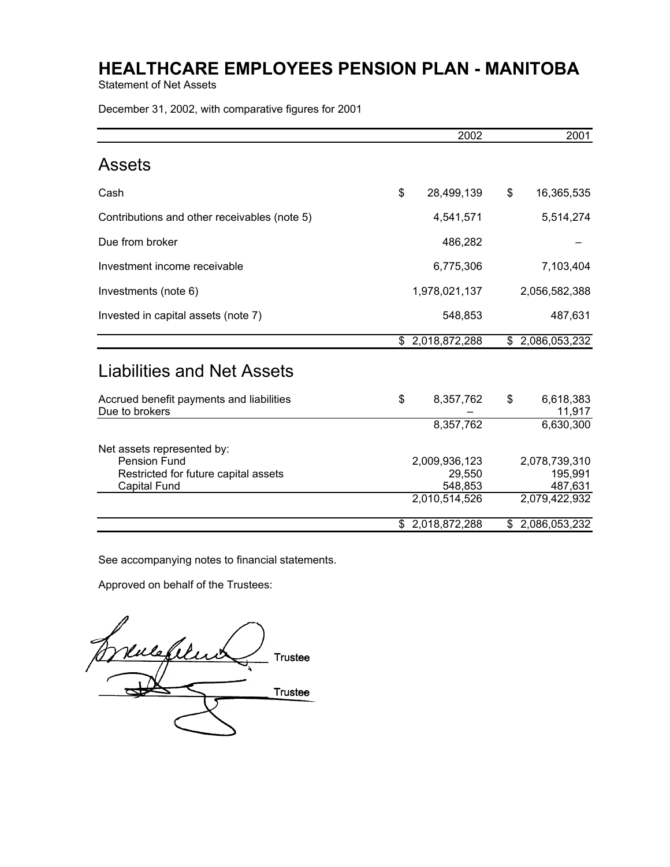Statement of Net Assets

December 31, 2002, with comparative figures for 2001

|                                                                                                                  | 2002                                                | 2001                                                 |
|------------------------------------------------------------------------------------------------------------------|-----------------------------------------------------|------------------------------------------------------|
| <b>Assets</b>                                                                                                    |                                                     |                                                      |
| Cash                                                                                                             | \$<br>28,499,139                                    | \$<br>16,365,535                                     |
| Contributions and other receivables (note 5)                                                                     | 4,541,571                                           | 5,514,274                                            |
| Due from broker                                                                                                  | 486,282                                             |                                                      |
| Investment income receivable                                                                                     | 6,775,306                                           | 7,103,404                                            |
| Investments (note 6)                                                                                             | 1,978,021,137                                       | 2,056,582,388                                        |
| Invested in capital assets (note 7)                                                                              | 548,853                                             | 487,631                                              |
|                                                                                                                  | \$2,018,872,288                                     | \$2,086,053,232                                      |
| Liabilities and Net Assets                                                                                       |                                                     |                                                      |
| Accrued benefit payments and liabilities<br>Due to brokers                                                       | \$<br>8,357,762                                     | \$<br>6,618,383<br>11,917                            |
|                                                                                                                  | 8,357,762                                           | 6,630,300                                            |
| Net assets represented by:<br><b>Pension Fund</b><br>Restricted for future capital assets<br><b>Capital Fund</b> | 2,009,936,123<br>29,550<br>548,853<br>2,010,514,526 | 2,078,739,310<br>195,991<br>487,631<br>2,079,422,932 |
|                                                                                                                  | \$2,018,872,288                                     | \$2,086,053,232                                      |

See accompanying notes to financial statements.

Approved on behalf of the Trustees:

 $\mathbb{Z}$  $\nu$ ulefiluit $\overline{\phantom{a}}$ Trustee Trustee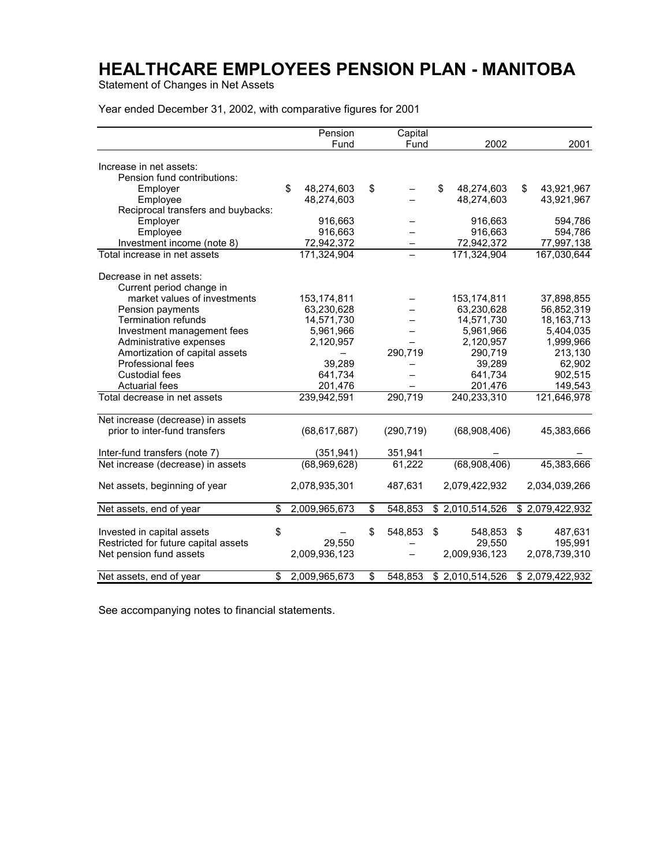Statement of Changes in Net Assets

Year ended December 31, 2002, with comparative figures for 2001

|                                      | Pension             | Capital       |                  |                  |
|--------------------------------------|---------------------|---------------|------------------|------------------|
|                                      | Fund                | Fund          | 2002             | 2001             |
|                                      |                     |               |                  |                  |
| Increase in net assets:              |                     |               |                  |                  |
| Pension fund contributions:          |                     |               |                  |                  |
| Employer                             | \$<br>48,274,603    | \$            | \$<br>48,274,603 | \$<br>43,921,967 |
| Employee                             | 48,274,603          |               | 48.274.603       | 43,921,967       |
| Reciprocal transfers and buybacks:   |                     |               |                  |                  |
| Employer                             | 916,663             |               | 916,663          | 594,786          |
| Employee                             | 916,663             |               | 916,663          | 594,786          |
| Investment income (note 8)           | 72,942,372          |               | 72,942,372       | 77,997,138       |
| Total increase in net assets         | 171,324,904         |               | 171,324,904      | 167,030,644      |
| Decrease in net assets:              |                     |               |                  |                  |
| Current period change in             |                     |               |                  |                  |
| market values of investments         | 153, 174, 811       |               | 153,174,811      | 37,898,855       |
| Pension payments                     | 63,230,628          |               | 63,230,628       | 56,852,319       |
| <b>Termination refunds</b>           | 14,571,730          |               | 14,571,730       | 18, 163, 713     |
| Investment management fees           | 5,961,966           |               | 5,961,966        | 5,404,035        |
| Administrative expenses              | 2,120,957           |               | 2,120,957        | 1,999,966        |
| Amortization of capital assets       |                     | 290,719       | 290,719          | 213,130          |
| Professional fees                    | 39,289              |               | 39,289           | 62,902           |
| <b>Custodial fees</b>                | 641,734             |               | 641,734          | 902,515          |
| <b>Actuarial fees</b>                | 201,476             |               | 201,476          | 149,543          |
| Total decrease in net assets         | 239,942,591         | 290,719       | 240,233,310      | 121,646,978      |
| Net increase (decrease) in assets    |                     |               |                  |                  |
| prior to inter-fund transfers        | (68, 617, 687)      | (290, 719)    | (68,908,406)     | 45,383,666       |
|                                      |                     |               |                  |                  |
| Inter-fund transfers (note 7)        | (351, 941)          | 351,941       |                  |                  |
| Net increase (decrease) in assets    | (68,969,628)        | 61,222        | (68,908,406)     | 45,383,666       |
| Net assets, beginning of year        | 2,078,935,301       | 487,631       | 2,079,422,932    | 2,034,039,266    |
| Net assets, end of year              | \$<br>2,009,965,673 | \$<br>548,853 | \$2,010,514,526  | \$2,079,422,932  |
|                                      |                     |               |                  |                  |
| Invested in capital assets           | \$                  | \$<br>548,853 | \$<br>548,853    | \$<br>487,631    |
| Restricted for future capital assets | 29.550              |               | 29,550           | 195,991          |
| Net pension fund assets              | 2,009,936,123       |               | 2,009,936,123    | 2,078,739,310    |
| Net assets, end of year              | \$<br>2,009,965,673 | \$<br>548,853 | \$2,010,514,526  | \$2,079,422,932  |

See accompanying notes to financial statements.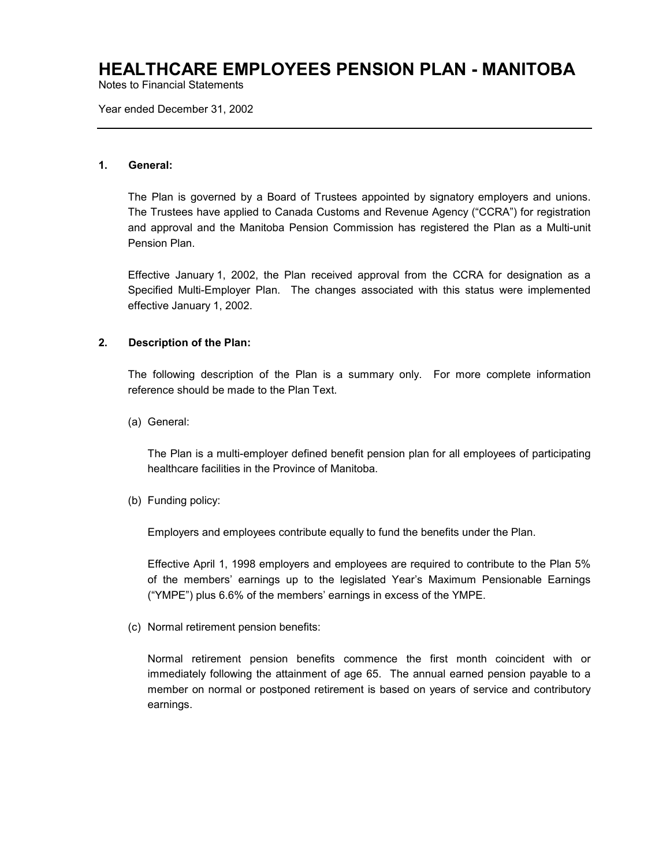Notes to Financial Statements

Year ended December 31, 2002

#### **1. General:**

The Plan is governed by a Board of Trustees appointed by signatory employers and unions. The Trustees have applied to Canada Customs and Revenue Agency ("CCRA") for registration and approval and the Manitoba Pension Commission has registered the Plan as a Multi-unit Pension Plan.

Effective January 1, 2002, the Plan received approval from the CCRA for designation as a Specified Multi-Employer Plan. The changes associated with this status were implemented effective January 1, 2002.

#### **2. Description of the Plan:**

The following description of the Plan is a summary only. For more complete information reference should be made to the Plan Text.

(a) General:

The Plan is a multi-employer defined benefit pension plan for all employees of participating healthcare facilities in the Province of Manitoba.

(b) Funding policy:

Employers and employees contribute equally to fund the benefits under the Plan.

Effective April 1, 1998 employers and employees are required to contribute to the Plan 5% of the members' earnings up to the legislated Year's Maximum Pensionable Earnings ("YMPE") plus 6.6% of the members' earnings in excess of the YMPE.

(c) Normal retirement pension benefits:

Normal retirement pension benefits commence the first month coincident with or immediately following the attainment of age 65. The annual earned pension payable to a member on normal or postponed retirement is based on years of service and contributory earnings.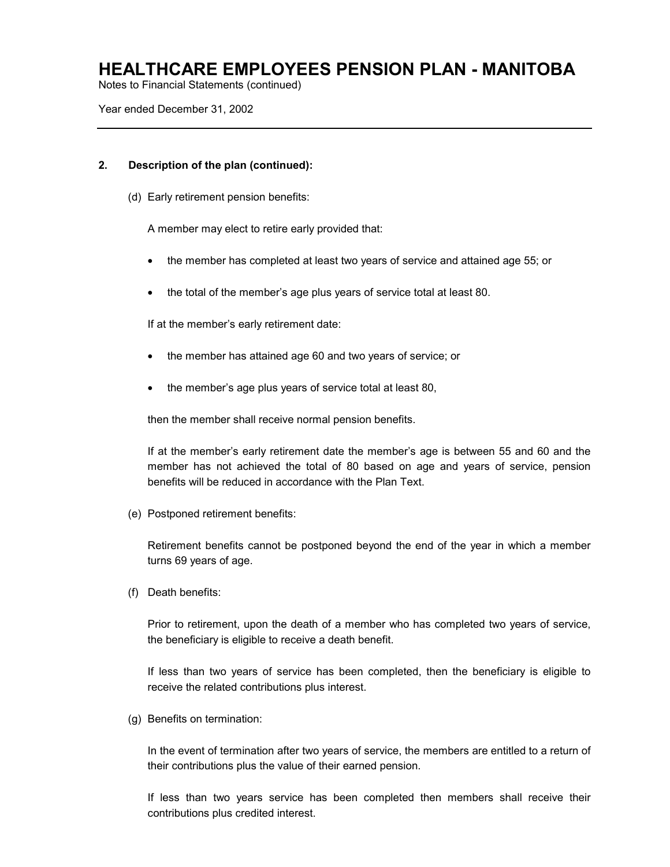Notes to Financial Statements (continued)

Year ended December 31, 2002

#### **2. Description of the plan (continued):**

(d) Early retirement pension benefits:

A member may elect to retire early provided that:

- the member has completed at least two years of service and attained age 55; or
- the total of the member's age plus years of service total at least 80.

If at the member's early retirement date:

- the member has attained age 60 and two years of service; or
- the member's age plus years of service total at least 80,

then the member shall receive normal pension benefits.

If at the member's early retirement date the member's age is between 55 and 60 and the member has not achieved the total of 80 based on age and years of service, pension benefits will be reduced in accordance with the Plan Text.

(e) Postponed retirement benefits:

Retirement benefits cannot be postponed beyond the end of the year in which a member turns 69 years of age.

(f) Death benefits:

Prior to retirement, upon the death of a member who has completed two years of service, the beneficiary is eligible to receive a death benefit.

If less than two years of service has been completed, then the beneficiary is eligible to receive the related contributions plus interest.

(g) Benefits on termination:

In the event of termination after two years of service, the members are entitled to a return of their contributions plus the value of their earned pension.

If less than two years service has been completed then members shall receive their contributions plus credited interest.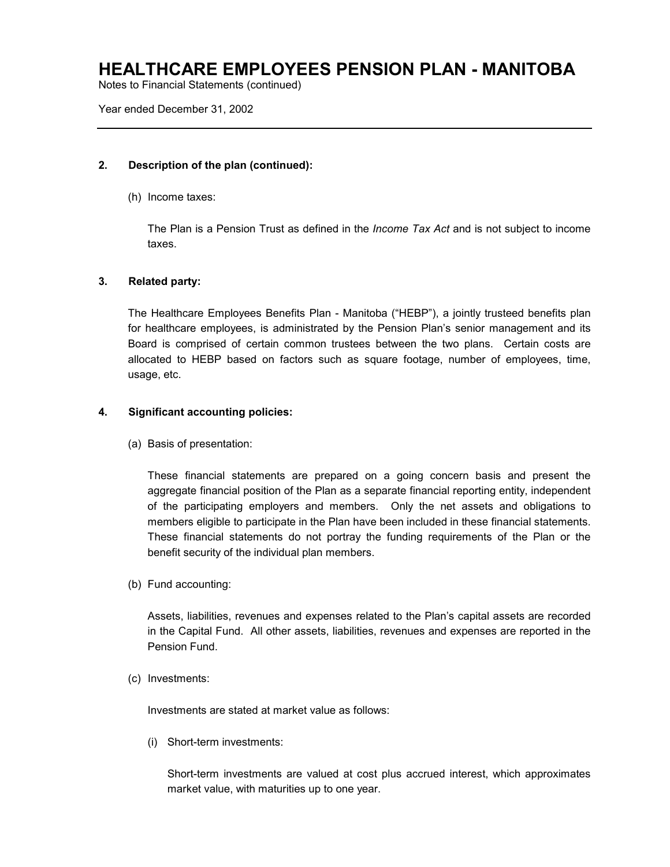Notes to Financial Statements (continued)

Year ended December 31, 2002

#### **2. Description of the plan (continued):**

(h) Income taxes:

The Plan is a Pension Trust as defined in the *Income Tax Act* and is not subject to income taxes.

#### **3. Related party:**

The Healthcare Employees Benefits Plan - Manitoba ("HEBP"), a jointly trusteed benefits plan for healthcare employees, is administrated by the Pension Plan's senior management and its Board is comprised of certain common trustees between the two plans. Certain costs are allocated to HEBP based on factors such as square footage, number of employees, time, usage, etc.

#### **4. Significant accounting policies:**

(a) Basis of presentation:

These financial statements are prepared on a going concern basis and present the aggregate financial position of the Plan as a separate financial reporting entity, independent of the participating employers and members. Only the net assets and obligations to members eligible to participate in the Plan have been included in these financial statements. These financial statements do not portray the funding requirements of the Plan or the benefit security of the individual plan members.

(b) Fund accounting:

Assets, liabilities, revenues and expenses related to the Plan's capital assets are recorded in the Capital Fund. All other assets, liabilities, revenues and expenses are reported in the Pension Fund.

(c) Investments:

Investments are stated at market value as follows:

(i) Short-term investments:

Short-term investments are valued at cost plus accrued interest, which approximates market value, with maturities up to one year.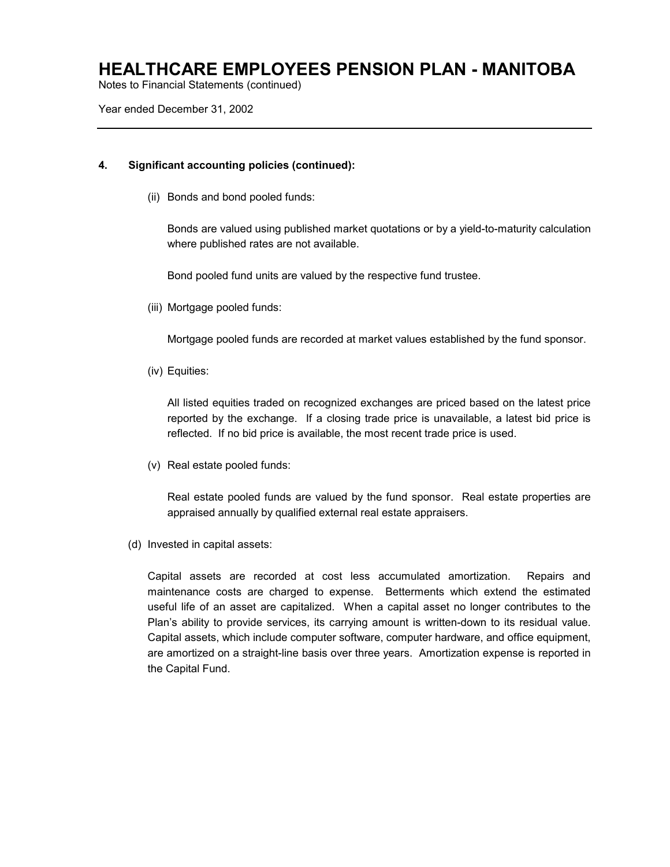Notes to Financial Statements (continued)

Year ended December 31, 2002

#### **4. Significant accounting policies (continued):**

(ii) Bonds and bond pooled funds:

Bonds are valued using published market quotations or by a yield-to-maturity calculation where published rates are not available.

Bond pooled fund units are valued by the respective fund trustee.

(iii) Mortgage pooled funds:

Mortgage pooled funds are recorded at market values established by the fund sponsor.

(iv) Equities:

All listed equities traded on recognized exchanges are priced based on the latest price reported by the exchange. If a closing trade price is unavailable, a latest bid price is reflected. If no bid price is available, the most recent trade price is used.

(v) Real estate pooled funds:

Real estate pooled funds are valued by the fund sponsor. Real estate properties are appraised annually by qualified external real estate appraisers.

(d) Invested in capital assets:

Capital assets are recorded at cost less accumulated amortization. Repairs and maintenance costs are charged to expense. Betterments which extend the estimated useful life of an asset are capitalized. When a capital asset no longer contributes to the Plan's ability to provide services, its carrying amount is written-down to its residual value. Capital assets, which include computer software, computer hardware, and office equipment, are amortized on a straight-line basis over three years. Amortization expense is reported in the Capital Fund.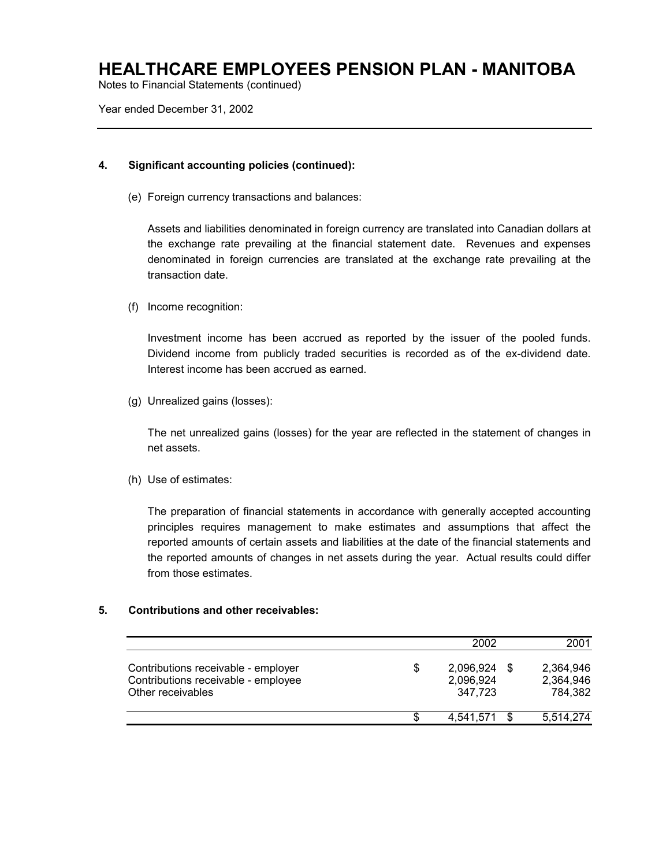Notes to Financial Statements (continued)

Year ended December 31, 2002

#### **4. Significant accounting policies (continued):**

(e) Foreign currency transactions and balances:

Assets and liabilities denominated in foreign currency are translated into Canadian dollars at the exchange rate prevailing at the financial statement date. Revenues and expenses denominated in foreign currencies are translated at the exchange rate prevailing at the transaction date.

(f) Income recognition:

Investment income has been accrued as reported by the issuer of the pooled funds. Dividend income from publicly traded securities is recorded as of the ex-dividend date. Interest income has been accrued as earned.

(g) Unrealized gains (losses):

The net unrealized gains (losses) for the year are reflected in the statement of changes in net assets.

(h) Use of estimates:

The preparation of financial statements in accordance with generally accepted accounting principles requires management to make estimates and assumptions that affect the reported amounts of certain assets and liabilities at the date of the financial statements and the reported amounts of changes in net assets during the year. Actual results could differ from those estimates.

#### **5. Contributions and other receivables:**

|                                                                                                 |   | 2002                              | 2001                                    |
|-------------------------------------------------------------------------------------------------|---|-----------------------------------|-----------------------------------------|
| Contributions receivable - employer<br>Contributions receivable - employee<br>Other receivables | S | 2,096,924<br>2,096,924<br>347.723 | \$<br>2,364,946<br>2,364,946<br>784.382 |
|                                                                                                 | S | 4,541,571                         | 5,514,274                               |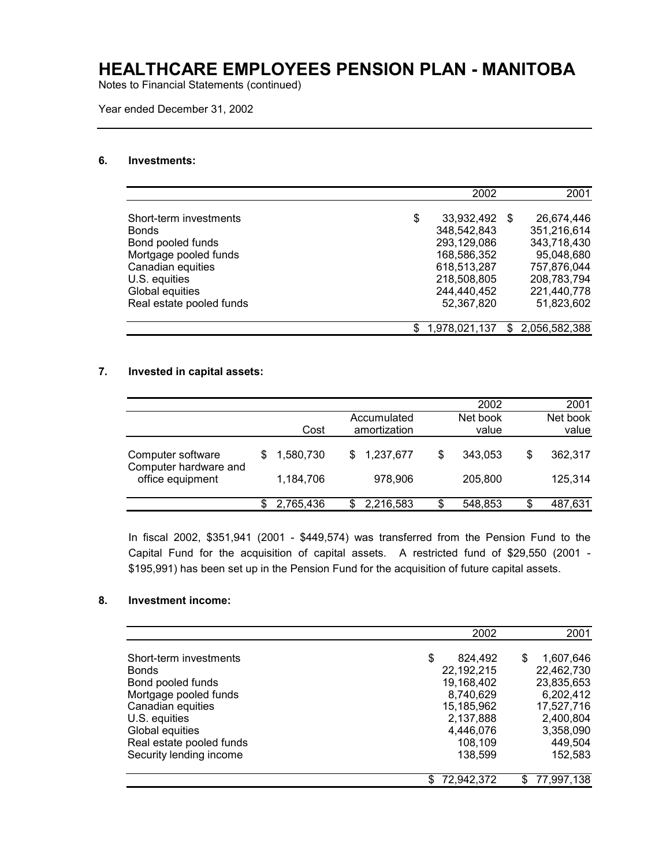Notes to Financial Statements (continued)

Year ended December 31, 2002

#### **6. Investments:**

|                          | 2002                |     | 2001          |
|--------------------------|---------------------|-----|---------------|
| Short-term investments   | \$<br>33,932,492    | \$. | 26,674,446    |
| <b>Bonds</b>             | 348,542,843         |     | 351,216,614   |
| Bond pooled funds        | 293,129,086         |     | 343,718,430   |
| Mortgage pooled funds    | 168,586,352         |     | 95,048,680    |
| Canadian equities        | 618.513.287         |     | 757.876.044   |
| U.S. equities            | 218,508,805         |     | 208,783,794   |
| Global equities          | 244,440,452         |     | 221,440,778   |
| Real estate pooled funds | 52,367,820          |     | 51,823,602    |
|                          | \$<br>1,978,021,137 | \$. | 2,056,582,388 |

#### **7. Invested in capital assets:**

|                                            |           |                             |    | 2002              |    | 2001              |
|--------------------------------------------|-----------|-----------------------------|----|-------------------|----|-------------------|
|                                            | Cost      | Accumulated<br>amortization |    | Net book<br>value |    | Net book<br>value |
| Computer software<br>Computer hardware and | 1,580,730 | 1,237,677<br>S              | S  | 343.053           | \$ | 362.317           |
| office equipment                           | 1,184,706 | 978,906                     |    | 205,800           |    | 125,314           |
|                                            | 2,765,436 | 2,216,583                   | \$ | 548,853           | S  | 487,631           |

In fiscal 2002, \$351,941 (2001 - \$449,574) was transferred from the Pension Fund to the Capital Fund for the acquisition of capital assets. A restricted fund of \$29,550 (2001 - \$195,991) has been set up in the Pension Fund for the acquisition of future capital assets.

#### **8. Investment income:**

|                                             | 2002                     | 2001                     |
|---------------------------------------------|--------------------------|--------------------------|
| Short-term investments                      | S<br>824,492             | 1,607,646<br>S           |
| <b>Bonds</b><br>Bond pooled funds           | 22,192,215<br>19,168,402 | 22,462,730<br>23,835,653 |
| Mortgage pooled funds                       | 8,740,629                | 6,202,412                |
| Canadian equities                           | 15,185,962               | 17,527,716               |
| U.S. equities                               | 2,137,888                | 2,400,804                |
| Global equities<br>Real estate pooled funds | 4,446,076<br>108,109     | 3,358,090<br>449,504     |
| Security lending income                     | 138,599                  | 152,583                  |
|                                             | 72,942,372               | 77,997,138<br>SS.        |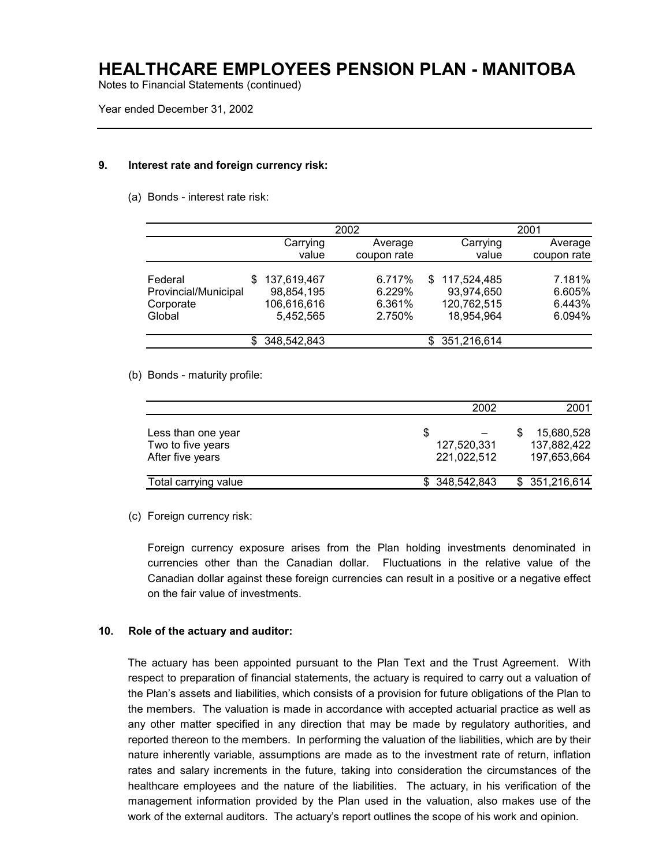Notes to Financial Statements (continued)

Year ended December 31, 2002

#### **9. Interest rate and foreign currency risk:**

(a) Bonds - interest rate risk:

|                      |                    | 2002        |                    | 2001        |
|----------------------|--------------------|-------------|--------------------|-------------|
|                      | Carrying           | Average     | Carrying           | Average     |
|                      | value              | coupon rate | value              | coupon rate |
|                      |                    |             |                    |             |
| Federal              | 137,619,467<br>S   | 6.717%      | 117,524,485<br>\$. | 7.181%      |
| Provincial/Municipal | 98,854,195         | 6.229%      | 93,974,650         | 6.605%      |
| Corporate            | 106,616,616        | 6.361%      | 120,762,515        | 6.443%      |
| Global               | 5.452.565          | 2.750%      | 18,954,964         | 6.094%      |
|                      | 348,542,843<br>\$. |             | 351,216,614<br>\$. |             |

#### (b) Bonds - maturity profile:

|                                                             | 2002                            |   | 2001                                     |
|-------------------------------------------------------------|---------------------------------|---|------------------------------------------|
| Less than one year<br>Two to five years<br>After five years | 8<br>127,520,331<br>221,022,512 | S | 15,680,528<br>137,882,422<br>197,653,664 |
| Total carrying value                                        | \$ 348.542.843                  |   | \$ 351,216,614                           |

(c) Foreign currency risk:

Foreign currency exposure arises from the Plan holding investments denominated in currencies other than the Canadian dollar. Fluctuations in the relative value of the Canadian dollar against these foreign currencies can result in a positive or a negative effect on the fair value of investments.

#### **10. Role of the actuary and auditor:**

The actuary has been appointed pursuant to the Plan Text and the Trust Agreement. With respect to preparation of financial statements, the actuary is required to carry out a valuation of the Plan's assets and liabilities, which consists of a provision for future obligations of the Plan to the members. The valuation is made in accordance with accepted actuarial practice as well as any other matter specified in any direction that may be made by regulatory authorities, and reported thereon to the members. In performing the valuation of the liabilities, which are by their nature inherently variable, assumptions are made as to the investment rate of return, inflation rates and salary increments in the future, taking into consideration the circumstances of the healthcare employees and the nature of the liabilities. The actuary, in his verification of the management information provided by the Plan used in the valuation, also makes use of the work of the external auditors. The actuary's report outlines the scope of his work and opinion.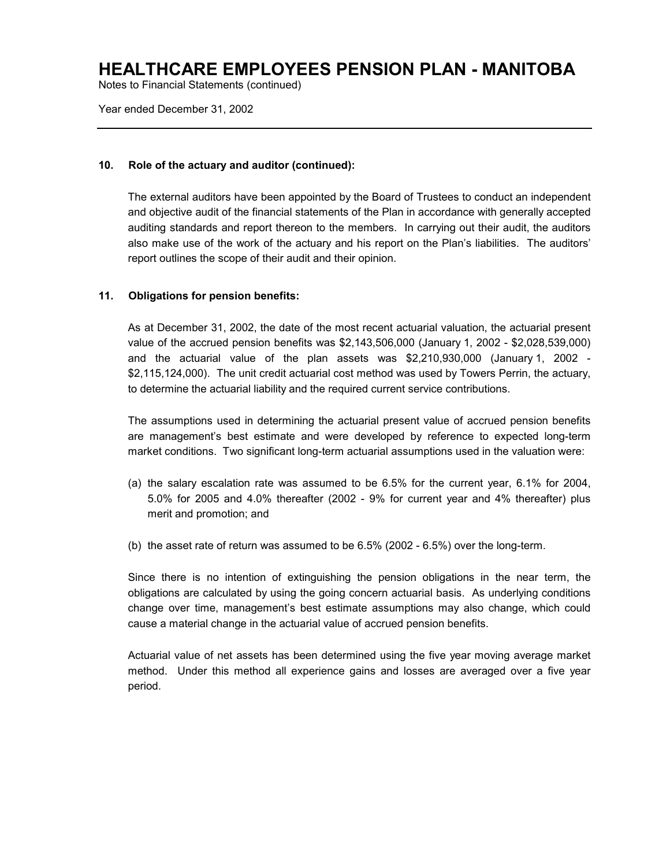Notes to Financial Statements (continued)

Year ended December 31, 2002

#### **10. Role of the actuary and auditor (continued):**

The external auditors have been appointed by the Board of Trustees to conduct an independent and objective audit of the financial statements of the Plan in accordance with generally accepted auditing standards and report thereon to the members. In carrying out their audit, the auditors also make use of the work of the actuary and his report on the Plan's liabilities. The auditors' report outlines the scope of their audit and their opinion.

#### **11. Obligations for pension benefits:**

As at December 31, 2002, the date of the most recent actuarial valuation, the actuarial present value of the accrued pension benefits was \$2,143,506,000 (January 1, 2002 - \$2,028,539,000) and the actuarial value of the plan assets was \$2,210,930,000 (January 1, 2002 - \$2,115,124,000). The unit credit actuarial cost method was used by Towers Perrin, the actuary, to determine the actuarial liability and the required current service contributions.

The assumptions used in determining the actuarial present value of accrued pension benefits are management's best estimate and were developed by reference to expected long-term market conditions. Two significant long-term actuarial assumptions used in the valuation were:

- (a) the salary escalation rate was assumed to be 6.5% for the current year, 6.1% for 2004, 5.0% for 2005 and 4.0% thereafter (2002 - 9% for current year and 4% thereafter) plus merit and promotion; and
- (b) the asset rate of return was assumed to be 6.5% (2002 6.5%) over the long-term.

Since there is no intention of extinguishing the pension obligations in the near term, the obligations are calculated by using the going concern actuarial basis. As underlying conditions change over time, management's best estimate assumptions may also change, which could cause a material change in the actuarial value of accrued pension benefits.

Actuarial value of net assets has been determined using the five year moving average market method. Under this method all experience gains and losses are averaged over a five year period.